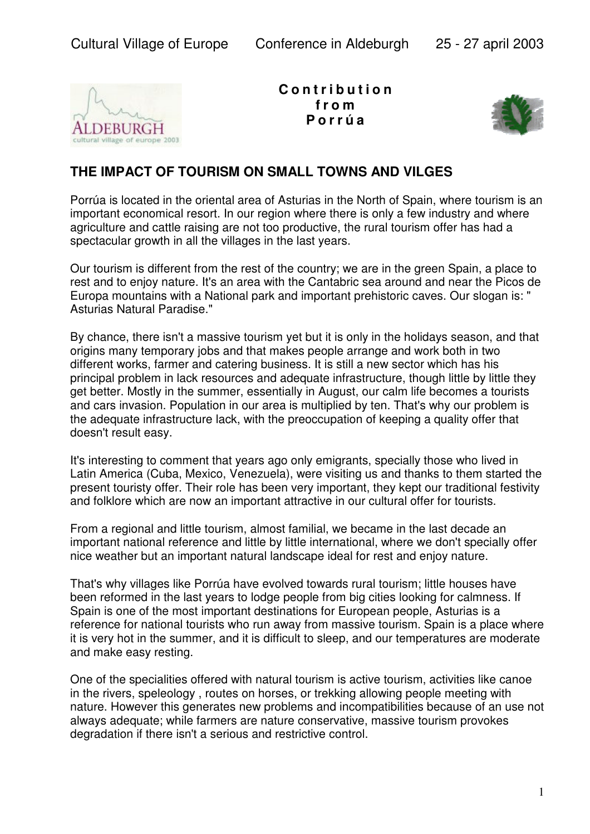

**C o n t r i b u t i o n f r o m P o r r ú a**



## **THE IMPACT OF TOURISM ON SMALL TOWNS AND VILGES**

Porrúa is located in the oriental area of Asturias in the North of Spain, where tourism is an important economical resort. In our region where there is only a few industry and where agriculture and cattle raising are not too productive, the rural tourism offer has had a spectacular growth in all the villages in the last years.

Our tourism is different from the rest of the country; we are in the green Spain, a place to rest and to enjoy nature. It's an area with the Cantabric sea around and near the Picos de Europa mountains with a National park and important prehistoric caves. Our slogan is: " Asturias Natural Paradise."

By chance, there isn't a massive tourism yet but it is only in the holidays season, and that origins many temporary jobs and that makes people arrange and work both in two different works, farmer and catering business. It is still a new sector which has his principal problem in lack resources and adequate infrastructure, though little by little they get better. Mostly in the summer, essentially in August, our calm life becomes a tourists and cars invasion. Population in our area is multiplied by ten. That's why our problem is the adequate infrastructure lack, with the preoccupation of keeping a quality offer that doesn't result easy.

It's interesting to comment that years ago only emigrants, specially those who lived in Latin America (Cuba, Mexico, Venezuela), were visiting us and thanks to them started the present touristy offer. Their role has been very important, they kept our traditional festivity and folklore which are now an important attractive in our cultural offer for tourists.

From a regional and little tourism, almost familial, we became in the last decade an important national reference and little by little international, where we don't specially offer nice weather but an important natural landscape ideal for rest and enjoy nature.

That's why villages like Porrúa have evolved towards rural tourism; little houses have been reformed in the last years to lodge people from big cities looking for calmness. If Spain is one of the most important destinations for European people, Asturias is a reference for national tourists who run away from massive tourism. Spain is a place where it is very hot in the summer, and it is difficult to sleep, and our temperatures are moderate and make easy resting.

One of the specialities offered with natural tourism is active tourism, activities like canoe in the rivers, speleology , routes on horses, or trekking allowing people meeting with nature. However this generates new problems and incompatibilities because of an use not always adequate; while farmers are nature conservative, massive tourism provokes degradation if there isn't a serious and restrictive control.